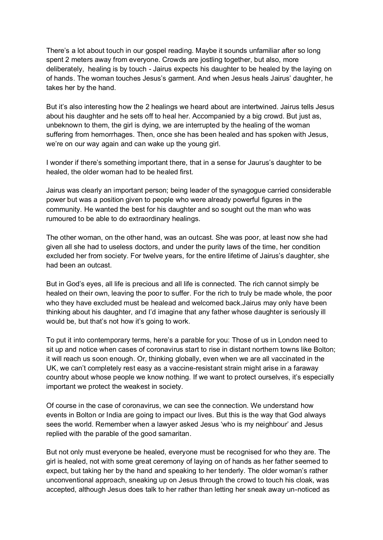There's a lot about touch in our gospel reading. Maybe it sounds unfamiliar after so long spent 2 meters away from everyone. Crowds are jostling together, but also, more deliberately, healing is by touch - Jairus expects his daughter to be healed by the laying on of hands. The woman touches Jesus's garment. And when Jesus heals Jairus' daughter, he takes her by the hand.

But it's also interesting how the 2 healings we heard about are intertwined. Jairus tells Jesus about his daughter and he sets off to heal her. Accompanied by a big crowd. But just as, unbeknown to them, the girl is dying, we are interrupted by the healing of the woman suffering from hemorrhages. Then, once she has been healed and has spoken with Jesus, we're on our way again and can wake up the young girl.

I wonder if there's something important there, that in a sense for Jaurus's daughter to be healed, the older woman had to be healed first.

Jairus was clearly an important person; being leader of the synagogue carried considerable power but was a position given to people who were already powerful figures in the community. He wanted the best for his daughter and so sought out the man who was rumoured to be able to do extraordinary healings.

The other woman, on the other hand, was an outcast. She was poor, at least now she had given all she had to useless doctors, and under the purity laws of the time, her condition excluded her from society. For twelve years, for the entire lifetime of Jairus's daughter, she had been an outcast.

But in God's eyes, all life is precious and all life is connected. The rich cannot simply be healed on their own, leaving the poor to suffer. For the rich to truly be made whole, the poor who they have excluded must be healead and welcomed back.Jairus may only have been thinking about his daughter, and I'd imagine that any father whose daughter is seriously ill would be, but that's not how it's going to work.

To put it into contemporary terms, here's a parable for you: Those of us in London need to sit up and notice when cases of coronavirus start to rise in distant northern towns like Bolton; it will reach us soon enough. Or, thinking globally, even when we are all vaccinated in the UK, we can't completely rest easy as a vaccine-resistant strain might arise in a faraway country about whose people we know nothing. If we want to protect ourselves, it's especially important we protect the weakest in society.

Of course in the case of coronavirus, we can see the connection. We understand how events in Bolton or India are going to impact our lives. But this is the way that God always sees the world. Remember when a lawyer asked Jesus 'who is my neighbour' and Jesus replied with the parable of the good samaritan.

But not only must everyone be healed, everyone must be recognised for who they are. The girl is healed, not with some great ceremony of laying on of hands as her father seemed to expect, but taking her by the hand and speaking to her tenderly. The older woman's rather unconventional approach, sneaking up on Jesus through the crowd to touch his cloak, was accepted, although Jesus does talk to her rather than letting her sneak away un-noticed as